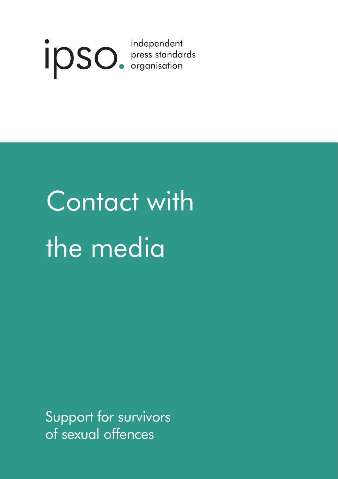

# Contact with the media

Support for survivors of sexual offences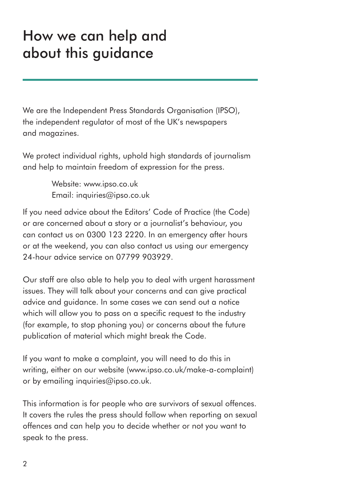### How we can help and about this guidance

We are the Independent Press Standards Organisation (IPSO), the independent regulator of most of the UK's newspapers and magazines.

We protect individual rights, uphold high standards of journalism and help to maintain freedom of expression for the press.

> Website: www.ipso.co.uk Email: inquiries@ipso.co.uk

If you need advice about the Editors' Code of Practice (the Code) or are concerned about a story or a journalist's behaviour, you can contact us on 0300 123 2220. In an emergency after hours or at the weekend, you can also contact us using our emergency 24-hour advice service on 07799 903929.

Our staff are also able to help you to deal with urgent harassment issues. They will talk about your concerns and can give practical advice and guidance. In some cases we can send out a notice which will allow you to pass on a specific request to the industry (for example, to stop phoning you) or concerns about the future publication of material which might break the Code.

If you want to make a complaint, you will need to do this in writing, either on our website (www.ipso.co.uk/make-a-complaint) or by emailing inquiries@ipso.co.uk.

This information is for people who are survivors of sexual offences. It covers the rules the press should follow when reporting on sexual offences and can help you to decide whether or not you want to speak to the press.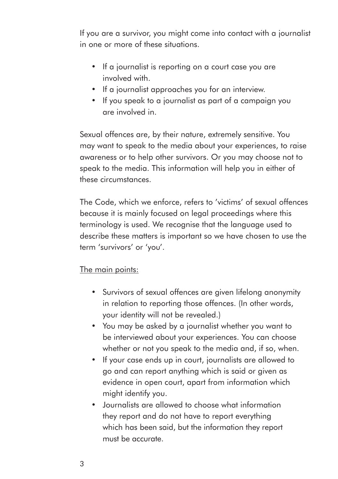If you are a survivor, you might come into contact with a journalist in one or more of these situations.

- If a journalist is reporting on a court case you are involved with
- If a journalist approaches you for an interview.
- If you speak to a journalist as part of a campaign you are involved in.

Sexual offences are, by their nature, extremely sensitive. You may want to speak to the media about your experiences, to raise awareness or to help other survivors. Or you may choose not to speak to the media. This information will help you in either of these circumstances.

The Code, which we enforce, refers to 'victims' of sexual offences because it is mainly focused on legal proceedings where this terminology is used. We recognise that the language used to describe these matters is important so we have chosen to use the term 'survivors' or 'you'.

#### The main points:

- Survivors of sexual offences are given lifelong anonymity in relation to reporting those offences. (In other words, your identity will not be revealed.)
- You may be asked by a journalist whether you want to be interviewed about your experiences. You can choose whether or not you speak to the media and, if so, when.
- If your case ends up in court, journalists are allowed to go and can report anything which is said or given as evidence in open court, apart from information which might identify you.
- Journalists are allowed to choose what information they report and do not have to report everything which has been said, but the information they report must be accurate.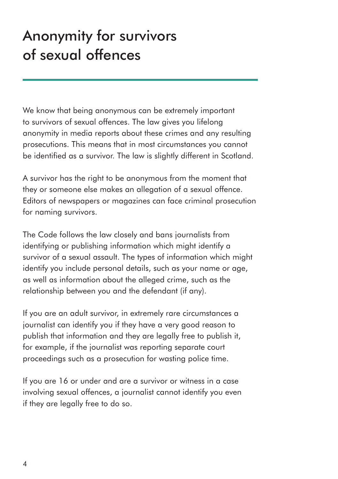# Anonymity for survivors of sexual offences

We know that being anonymous can be extremely important to survivors of sexual offences. The law gives you lifelong anonymity in media reports about these crimes and any resulting prosecutions. This means that in most circumstances you cannot be identified as a survivor. The law is slightly different in Scotland.

A survivor has the right to be anonymous from the moment that they or someone else makes an allegation of a sexual offence. Editors of newspapers or magazines can face criminal prosecution for naming survivors.

The Code follows the law closely and bans journalists from identifying or publishing information which might identify a survivor of a sexual assault. The types of information which might identify you include personal details, such as your name or age, as well as information about the alleged crime, such as the relationship between you and the defendant (if any).

If you are an adult survivor, in extremely rare circumstances a journalist can identify you if they have a very good reason to publish that information and they are legally free to publish it, for example, if the journalist was reporting separate court proceedings such as a prosecution for wasting police time.

If you are 16 or under and are a survivor or witness in a case involving sexual offences, a journalist cannot identify you even if they are legally free to do so.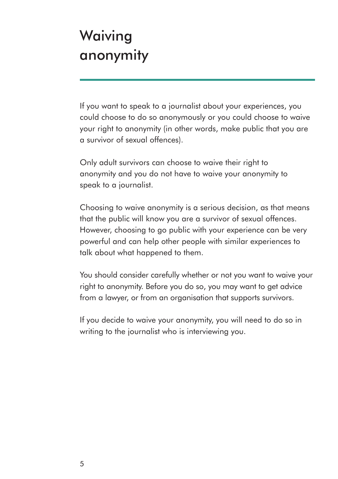## Waiving anonymity

If you want to speak to a journalist about your experiences, you could choose to do so anonymously or you could choose to waive your right to anonymity (in other words, make public that you are a survivor of sexual offences).

Only adult survivors can choose to waive their right to anonymity and you do not have to waive your anonymity to speak to a journalist.

Choosing to waive anonymity is a serious decision, as that means that the public will know you are a survivor of sexual offences. However, choosing to go public with your experience can be very powerful and can help other people with similar experiences to talk about what happened to them.

You should consider carefully whether or not you want to waive your right to anonymity. Before you do so, you may want to get advice from a lawyer, or from an organisation that supports survivors.

If you decide to waive your anonymity, you will need to do so in writing to the journalist who is interviewing you.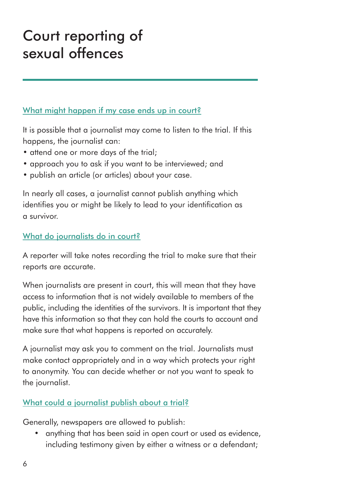## Court reporting of sexual offences

#### What might happen if my case ends up in court?

It is possible that a journalist may come to listen to the trial. If this happens, the journalist can:

- attend one or more days of the trial;
- approach you to ask if you want to be interviewed; and
- publish an article (or articles) about your case.

In nearly all cases, a journalist cannot publish anything which identifies you or might be likely to lead to your identification as a survivor.

#### What do journalists do in court?

A reporter will take notes recording the trial to make sure that their reports are accurate.

When journalists are present in court, this will mean that they have access to information that is not widely available to members of the public, including the identities of the survivors. It is important that they have this information so that they can hold the courts to account and make sure that what happens is reported on accurately.

A journalist may ask you to comment on the trial. Journalists must make contact appropriately and in a way which protects your right to anonymity. You can decide whether or not you want to speak to the journalist.

#### What could a journalist publish about a trial?

Generally, newspapers are allowed to publish:

• anything that has been said in open court or used as evidence, including testimony given by either a witness or a defendant;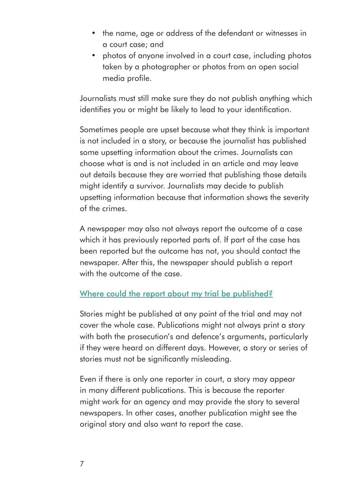- the name, age or address of the defendant or witnesses in a court case; and
- photos of anyone involved in a court case, including photos taken by a photographer or photos from an open social media profile.

Journalists must still make sure they do not publish anything which identifies you or might be likely to lead to your identification.

Sometimes people are upset because what they think is important is not included in a story, or because the journalist has published some upsetting information about the crimes. Journalists can choose what is and is not included in an article and may leave out details because they are worried that publishing those details might identify a survivor. Journalists may decide to publish upsetting information because that information shows the severity of the crimes.

A newspaper may also not always report the outcome of a case which it has previously reported parts of. If part of the case has been reported but the outcome has not, you should contact the newspaper. After this, the newspaper should publish a report with the outcome of the case.

#### Where could the report about my trial be published?

Stories might be published at any point of the trial and may not cover the whole case. Publications might not always print a story with both the prosecution's and defence's arguments, particularly if they were heard on different days. However, a story or series of stories must not be significantly misleading.

Even if there is only one reporter in court, a story may appear in many different publications. This is because the reporter might work for an agency and may provide the story to several newspapers. In other cases, another publication might see the original story and also want to report the case.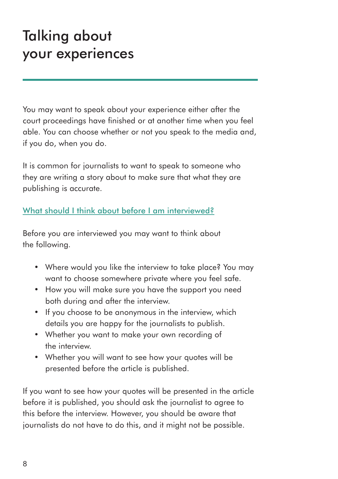### Talking about your experiences

You may want to speak about your experience either after the court proceedings have finished or at another time when you feel able. You can choose whether or not you speak to the media and, if you do, when you do.

It is common for journalists to want to speak to someone who they are writing a story about to make sure that what they are publishing is accurate.

#### What should I think about before I am interviewed?

Before you are interviewed you may want to think about the following.

- Where would you like the interview to take place? You may want to choose somewhere private where you feel safe.
- How you will make sure you have the support you need both during and after the interview.
- If you choose to be anonymous in the interview, which details you are happy for the journalists to publish.
- Whether you want to make your own recording of the interview.
- Whether you will want to see how your quotes will be presented before the article is published.

If you want to see how your quotes will be presented in the article before it is published, you should ask the journalist to agree to this before the interview. However, you should be aware that journalists do not have to do this, and it might not be possible.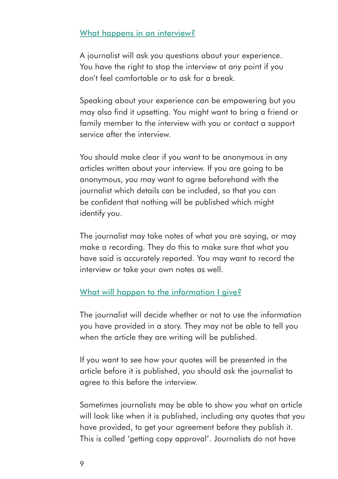#### What happens in an interview?

A journalist will ask you questions about your experience. You have the right to stop the interview at any point if you don't feel comfortable or to ask for a break.

Speaking about your experience can be empowering but you may also find it upsetting. You might want to bring a friend or family member to the interview with you or contact a support service after the interview.

You should make clear if you want to be anonymous in any articles written about your interview. If you are going to be anonymous, you may want to agree beforehand with the journalist which details can be included, so that you can be confident that nothing will be published which might identify you.

The journalist may take notes of what you are saying, or may make a recording. They do this to make sure that what you have said is accurately reported. You may want to record the interview or take your own notes as well.

#### What will happen to the information I give?

The journalist will decide whether or not to use the information you have provided in a story. They may not be able to tell you when the article they are writing will be published.

If you want to see how your quotes will be presented in the article before it is published, you should ask the journalist to agree to this before the interview.

Sometimes journalists may be able to show you what an article will look like when it is published, including any quotes that you have provided, to get your agreement before they publish it. This is called 'getting copy approval'. Journalists do not have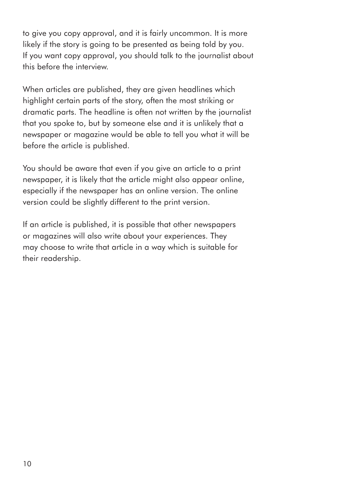to give you copy approval, and it is fairly uncommon. It is more likely if the story is going to be presented as being told by you. If you want copy approval, you should talk to the journalist about this before the interview.

When articles are published, they are given headlines which highlight certain parts of the story, often the most striking or dramatic parts. The headline is often not written by the journalist that you spoke to, but by someone else and it is unlikely that a newspaper or magazine would be able to tell you what it will be before the article is published.

You should be aware that even if you give an article to a print newspaper, it is likely that the article might also appear online, especially if the newspaper has an online version. The online version could be slightly different to the print version.

If an article is published, it is possible that other newspapers or magazines will also write about your experiences. They may choose to write that article in a way which is suitable for their readership.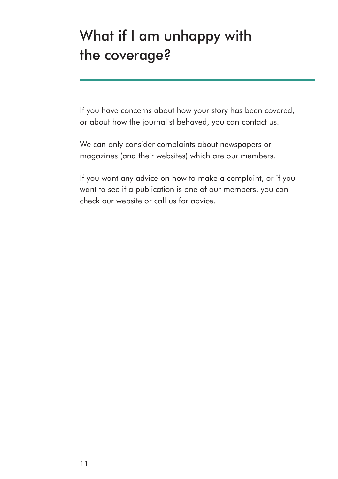# What if I am unhappy with the coverage?

If you have concerns about how your story has been covered, or about how the journalist behaved, you can contact us.

We can only consider complaints about newspapers or magazines (and their websites) which are our members.

If you want any advice on how to make a complaint, or if you want to see if a publication is one of our members, you can check our website or call us for advice.